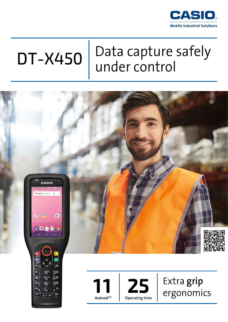

# Data capture safely DT-X450 | Dald Capture

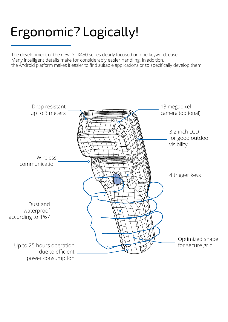# Ergonomic? Logically!

The development of the new DT-X450 series clearly focused on one keyword: ease. Many intelligent details make for considerably easier handling. In addition, the Android platform makes it easier to find suitable applications or to specifically develop them.

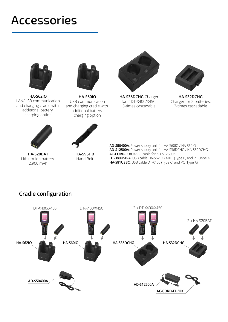## Accessories



**HA-S62IO** LAN/USB communication and charging cradle with additional battery charging option



**HA-S60IO** USB communication and charging cradle with additional battery charging option



**HA-S36DCHG** Charger for 2 DT-X400/X450, 3-times cascadable



**HA-S32DCHG** Charger for 2 batteries, 3-times cascadable



**HA-S20BAT** Lithium-ion battery (2.900 mAh)



**HA-S95HB** Hand Belt

**AD-S50400A**: Power supply unit for HA-S60IO / HA-S62IO **AD-S12500A**: Power supply unit for HA-S36DCHG / HA-S32DCHG **AC-CORD-EU/UK**: AC cable for AD-S12500A **DT-380USB-A**: USB cable HA-S62IO / 60IO (Type B) and PC (Type A) **HA-S81USBC**: USB cable DT-X450 (Type C) and PC (Type A)

### **Cradle configuration**

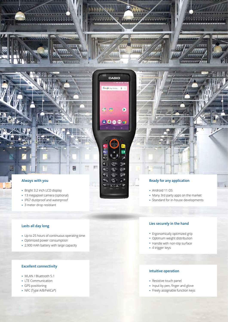

ß

Ξ **Big** 

**6\* BM** 9%

> $\sqrt{2}$  $\overline{\mathbf{B}}$

 $30000$ 

CLR

 $1<sub>e</sub>$ 

 $4<sup>cm</sup>$ 

 $7<sup>10</sup>$  $F_{n}$ 

**SP** 

m

Z

 $P_e^{\text{AB}}$ 

 $\overline{\mathbf{5}^{\mathbf{k}}}$ 

 $\overline{Q}$ -

#### **Always with you**

匠

- Bright 3.2 inch LCD display
- 13 megapixel camera (optional) **•**
- IP67 dustproof and waterproof
- 3 meter drop resistant **•**

#### **Lasts all day long**

- Up to 25 hours of continuous operating time **•**
- Optimized power consumption **•**
- 2,900 mAh battery with large capacity **•**

#### **Excellent connectivity**

- WLAN / Bluetooth 5.1 **•**
- LTE Communication **•**
- GPS positioning **•**
- NFC (Type A/B/FeliCa®) **•**

#### **Ready for any application**

- Android 11 OS **•**
- Many 3rd party apps on the market **•**
- Standard for in-house developments **•**

#### **Lies securely in the hand**

- Ergonomically optimized grip **•**
- Optimum weight distribution **•**
- Handle with non-slip surface
- 4 trigger keys **•**

#### **Intuitive operation**

- Resistive touch panel **•**
- Input by pen, finger and glove
- Freely assignable function keys **•**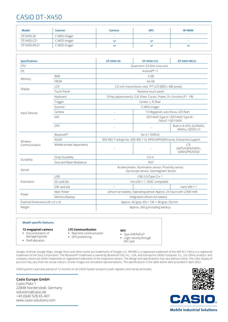## CASIO DT-X450

| <b>Model</b><br><b>NFC</b><br>Camera<br>Scanner |              |  |  |                          |
|-------------------------------------------------|--------------|--|--|--------------------------|
|                                                 |              |  |  | <b>W-WAN</b>             |
| DT-X450-20                                      | C-MOS Imager |  |  | $\overline{\phantom{a}}$ |
| DT-X450-C21                                     | C-MOS Imager |  |  | -                        |
| DT-X450-WC21                                    | C-MOS Imager |  |  |                          |

| <b>Specifications</b>           |                           | DT-X450-20                                                                                    | DT-X450-C21                         | DT-X450-WC21                                 |  |  |
|---------------------------------|---------------------------|-----------------------------------------------------------------------------------------------|-------------------------------------|----------------------------------------------|--|--|
| CPU                             |                           | Qualcomm 2.0 GHz octa-core                                                                    |                                     |                                              |  |  |
| <b>OS</b>                       |                           |                                                                                               | Android <sup>™</sup> 11             |                                              |  |  |
| Memory                          | <b>RAM</b>                | 4 GB                                                                                          |                                     |                                              |  |  |
|                                 | <b>FROM</b>               | 64 GB                                                                                         |                                     |                                              |  |  |
|                                 | LCD                       | 3.2-inch transmissive color TFT LCD (800 x 480 pixels)                                        |                                     |                                              |  |  |
| Display                         | <b>Touch Panel</b>        | Resistive touch panel                                                                         |                                     |                                              |  |  |
|                                 | Keyboard                  | 10 Key (alpanumeric), CLR, Enter, Cursor, Power, Fn, Function (F1 - F8)                       |                                     |                                              |  |  |
|                                 | Trigger                   | Center, L, R, Rear                                                                            |                                     |                                              |  |  |
| Input Devices                   | Scanner                   | C-MOS Imager                                                                                  |                                     |                                              |  |  |
|                                 | Camera                    |                                                                                               | 13 Megapixel, auto focus, LED flash |                                              |  |  |
|                                 | <b>NFC</b>                | ISO14443 Type A / ISO14443 Type B /<br>Felica® / ISO15693                                     |                                     |                                              |  |  |
|                                 | GPS                       |                                                                                               |                                     | Built-in A-GPS, GLONASS,<br>BeiDou, QZSS/L1C |  |  |
|                                 | Bluetooth®                | Ver.5.1 EDR/LE                                                                                |                                     |                                              |  |  |
| Wireless                        | WI AN                     | IEEE 802.11a/b/g/n/ac, IEEE 802.11d, WPA2/WPA3(Personal, Enterprise) support                  |                                     |                                              |  |  |
| Communication                   | WWAN (model dependent)    |                                                                                               |                                     | LTE<br>UMTS/HSPA/HSPA+,<br>GSM/GPRS/EDGE     |  |  |
|                                 | Drop Durability           | 3.0 <sub>m</sub>                                                                              |                                     |                                              |  |  |
| Durability                      | Dust and Water Resistance | <b>IP67</b>                                                                                   |                                     |                                              |  |  |
| Sensor                          |                           | Accelerometer, Illumination sensor, Proximity sensor,<br>Gyroscope sensor, Geomagnetic Sensor |                                     |                                              |  |  |
| Extensions                      | <b>USB</b>                | USB 2.0 (Type-C) x 1                                                                          |                                     |                                              |  |  |
|                                 | SD card slot              | microSD $\times$ 1, SDXC compatible                                                           |                                     |                                              |  |  |
|                                 | SIM card slot             |                                                                                               |                                     | nano SIM $\times$ 1                          |  |  |
| Power                           | Main Power                | Lithium-ion battery, Operating period: Approx. 25 hours with 2,900 mAh                        |                                     |                                              |  |  |
|                                 | Memory Backup             | Integrated Lithium-ion battery                                                                |                                     |                                              |  |  |
| External Dimensions (W x D x H) |                           | Approx. 66 (grip: 45) × 196 × 38 (grip: 33) mm                                                |                                     |                                              |  |  |
| Weight                          |                           | Approx. 260 g (including battery)                                                             |                                     |                                              |  |  |
|                                 |                           |                                                                                               |                                     |                                              |  |  |

#### **Model-specific features:**

#### **13 megapixel camera**

- Documentation of **•**
- damaged goods
- Shelf allocation **•**
- **•** Real-time communication
- **•** GPS positioning **LTE Communikation**
- **NFC**
	- Type A/B/FeliCa® **•**
	- Login security through **•** NFC card

Google, Android, Google Maps, Google Drive and other marks are trademarks of Google LLC. MIFARE is a registered trademark of the NXP B.V. FeliCa is a registered trademark of the Sony Corporation. The Bluetooth® trademark is owned by Bluetooth SIG, Inc., USA, and licensed to CASIO Computer Co., Ltd. Other product- and company names are either trademarks or registered trademarks of the respective owners. The design and specifications may vary without notice. The color display of pictures may vary from the actual colours. Screen images are simulated representations. The specifications in the table above were provided in April 2022.

CASIO grants a warranty period of 12 months on all CASIO System products (cash registers and handy terminals).

Casio-Platz 1 22848 Norderstedt, Germany solutions@casio.de +49 (0)40 528 65-407 www.casio-solutions.com **Casio Europe GmbH**